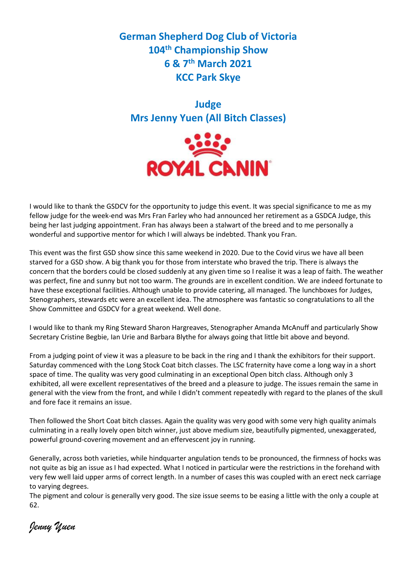**German Shepherd Dog Club of Victoria 104th Championship Show 6 & 7th March 2021 KCC Park Skye**

**Judge Mrs Jenny Yuen (All Bitch Classes)**



I would like to thank the GSDCV for the opportunity to judge this event. It was special significance to me as my fellow judge for the week-end was Mrs Fran Farley who had announced her retirement as a GSDCA Judge, this being her last judging appointment. Fran has always been a stalwart of the breed and to me personally a wonderful and supportive mentor for which I will always be indebted. Thank you Fran.

This event was the first GSD show since this same weekend in 2020. Due to the Covid virus we have all been starved for a GSD show. A big thank you for those from interstate who braved the trip. There is always the concern that the borders could be closed suddenly at any given time so I realise it was a leap of faith. The weather was perfect, fine and sunny but not too warm. The grounds are in excellent condition. We are indeed fortunate to have these exceptional facilities. Although unable to provide catering, all managed. The lunchboxes for Judges, Stenographers, stewards etc were an excellent idea. The atmosphere was fantastic so congratulations to all the Show Committee and GSDCV for a great weekend. Well done.

I would like to thank my Ring Steward Sharon Hargreaves, Stenographer Amanda McAnuff and particularly Show Secretary Cristine Begbie, Ian Urie and Barbara Blythe for always going that little bit above and beyond.

From a judging point of view it was a pleasure to be back in the ring and I thank the exhibitors for their support. Saturday commenced with the Long Stock Coat bitch classes. The LSC fraternity have come a long way in a short space of time. The quality was very good culminating in an exceptional Open bitch class. Although only 3 exhibited, all were excellent representatives of the breed and a pleasure to judge. The issues remain the same in general with the view from the front, and while I didn't comment repeatedly with regard to the planes of the skull and fore face it remains an issue.

Then followed the Short Coat bitch classes. Again the quality was very good with some very high quality animals culminating in a really lovely open bitch winner, just above medium size, beautifully pigmented, unexaggerated, powerful ground-covering movement and an effervescent joy in running.

Generally, across both varieties, while hindquarter angulation tends to be pronounced, the firmness of hocks was not quite as big an issue as I had expected. What I noticed in particular were the restrictions in the forehand with very few well laid upper arms of correct length. In a number of cases this was coupled with an erect neck carriage to varying degrees.

The pigment and colour is generally very good. The size issue seems to be easing a little with the only a couple at 62.

*Jenny Yuen*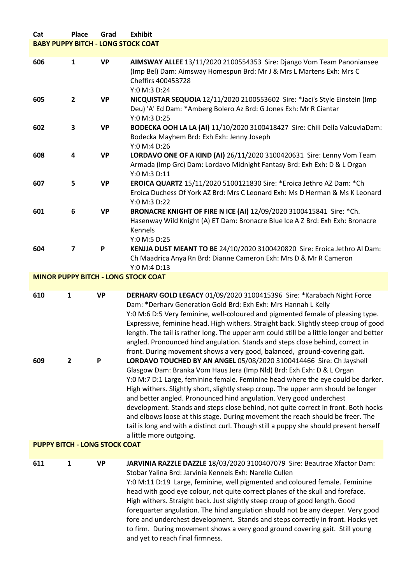# **Cat Place Grad Exhibit BABY PUPPY BITCH - LONG STOCK COAT**

| 606                                  | $\mathbf{1}$        | <b>VP</b>      | AIMSWAY ALLEE 13/11/2020 2100554353 Sire: Django Vom Team Panoniansee<br>(Imp Bel) Dam: Aimsway Homespun Brd: Mr J & Mrs L Martens Exh: Mrs C<br>Cheffirs 400453728<br>Y:0 M:3 D:24                                                                                                                                                                                                                                                                                                                                                                                                                                                                                                                                                                                                                                                                                                                                                                                                                                                                                                                                                                                                                                                                                        |  |
|--------------------------------------|---------------------|----------------|----------------------------------------------------------------------------------------------------------------------------------------------------------------------------------------------------------------------------------------------------------------------------------------------------------------------------------------------------------------------------------------------------------------------------------------------------------------------------------------------------------------------------------------------------------------------------------------------------------------------------------------------------------------------------------------------------------------------------------------------------------------------------------------------------------------------------------------------------------------------------------------------------------------------------------------------------------------------------------------------------------------------------------------------------------------------------------------------------------------------------------------------------------------------------------------------------------------------------------------------------------------------------|--|
| 605                                  | $\mathbf{2}$        | <b>VP</b>      | NICQUISTAR SEQUOIA 12/11/2020 2100553602 Sire: *Jaci's Style Einstein (Imp<br>Deu) 'A' Ed Dam: *Amberg Bolero Az Brd: G Jones Exh: Mr R Ciantar<br>Y:0 M:3 D:25                                                                                                                                                                                                                                                                                                                                                                                                                                                                                                                                                                                                                                                                                                                                                                                                                                                                                                                                                                                                                                                                                                            |  |
| 602                                  | 3                   | <b>VP</b>      | BODECKA OOH LA LA (AI) 11/10/2020 3100418427 Sire: Chili Della ValcuviaDam:<br>Bodecka Mayhem Brd: Exh Exh: Jenny Joseph<br>Y:0 M:4 D:26                                                                                                                                                                                                                                                                                                                                                                                                                                                                                                                                                                                                                                                                                                                                                                                                                                                                                                                                                                                                                                                                                                                                   |  |
| 608                                  | 4                   | <b>VP</b>      | LORDAVO ONE OF A KIND (AI) 26/11/2020 3100420631 Sire: Lenny Vom Team<br>Armada (Imp Grc) Dam: Lordavo Midnight Fantasy Brd: Exh Exh: D & L Organ<br>Y:0 M:3 D:11                                                                                                                                                                                                                                                                                                                                                                                                                                                                                                                                                                                                                                                                                                                                                                                                                                                                                                                                                                                                                                                                                                          |  |
| 607                                  | 5                   | <b>VP</b>      | <b>EROICA QUARTZ 15/11/2020 5100121830 Sire: *Eroica Jethro AZ Dam: *Ch</b><br>Eroica Duchess Of York AZ Brd: Mrs C Leonard Exh: Ms D Herman & Ms K Leonard<br>Y:0 M:3 D:22                                                                                                                                                                                                                                                                                                                                                                                                                                                                                                                                                                                                                                                                                                                                                                                                                                                                                                                                                                                                                                                                                                |  |
| 601                                  | 6                   | <b>VP</b>      | BRONACRE KNIGHT OF FIRE N ICE (AI) 12/09/2020 3100415841 Sire: * Ch.<br>Hasenway Wild Knight (A) ET Dam: Bronacre Blue Ice A Z Brd: Exh Exh: Bronacre<br><b>Kennels</b><br>Y:0 M:5 D:25                                                                                                                                                                                                                                                                                                                                                                                                                                                                                                                                                                                                                                                                                                                                                                                                                                                                                                                                                                                                                                                                                    |  |
| 604                                  | 7                   | P              | KENJJA DUST MEANT TO BE 24/10/2020 3100420820 Sire: Eroica Jethro Al Dam:<br>Ch Maadrica Anya Rn Brd: Dianne Cameron Exh: Mrs D & Mr R Cameron<br>Y:0 M:4 D:13                                                                                                                                                                                                                                                                                                                                                                                                                                                                                                                                                                                                                                                                                                                                                                                                                                                                                                                                                                                                                                                                                                             |  |
|                                      |                     |                | <b>MINOR PUPPY BITCH - LONG STOCK COAT</b>                                                                                                                                                                                                                                                                                                                                                                                                                                                                                                                                                                                                                                                                                                                                                                                                                                                                                                                                                                                                                                                                                                                                                                                                                                 |  |
|                                      |                     |                |                                                                                                                                                                                                                                                                                                                                                                                                                                                                                                                                                                                                                                                                                                                                                                                                                                                                                                                                                                                                                                                                                                                                                                                                                                                                            |  |
| 610<br>609                           | 1<br>$\overline{2}$ | <b>VP</b><br>P | DERHARV GOLD LEGACY 01/09/2020 3100415396 Sire: *Karabach Night Force<br>Dam: *Derharv Generation Gold Brd: Exh Exh: Mrs Hannah L Kelly<br>Y:0 M:6 D:5 Very feminine, well-coloured and pigmented female of pleasing type.<br>Expressive, feminine head. High withers. Straight back. Slightly steep croup of good<br>length. The tail is rather long. The upper arm could still be a little longer and better<br>angled. Pronounced hind angulation. Stands and steps close behind, correct in<br>front. During movement shows a very good, balanced, ground-covering gait.<br>LORDAVO TOUCHED BY AN ANGEL 05/08/2020 3100414466 Sire: Ch Jayshell<br>Glasgow Dam: Branka Vom Haus Jera (Imp Nld) Brd: Exh Exh: D & L Organ<br>Y:0 M:7 D:1 Large, feminine female. Feminine head where the eye could be darker.<br>High withers. Slightly short, slightly steep croup. The upper arm should be longer<br>and better angled. Pronounced hind angulation. Very good underchest<br>development. Stands and steps close behind, not quite correct in front. Both hocks<br>and elbows loose at this stage. During movement the reach should be freer. The<br>tail is long and with a distinct curl. Though still a puppy she should present herself<br>a little more outgoing. |  |
| <b>PUPPY BITCH - LONG STOCK COAT</b> |                     |                |                                                                                                                                                                                                                                                                                                                                                                                                                                                                                                                                                                                                                                                                                                                                                                                                                                                                                                                                                                                                                                                                                                                                                                                                                                                                            |  |

Stobar Yalina Brd: Jarvinia Kennels Exh: Narelle Cullen

and yet to reach final firmness.

Y:0 M:11 D:19 Large, feminine, well pigmented and coloured female. Feminine head with good eye colour, not quite correct planes of the skull and foreface. High withers. Straight back. Just slightly steep croup of good length. Good

forequarter angulation. The hind angulation should not be any deeper. Very good fore and underchest development. Stands and steps correctly in front. Hocks yet to firm. During movement shows a very good ground covering gait. Still young

**<sup>611</sup> 1 VP JARVINIA RAZZLE DAZZLE** 18/03/2020 3100407079 Sire: Beautrae Xfactor Dam: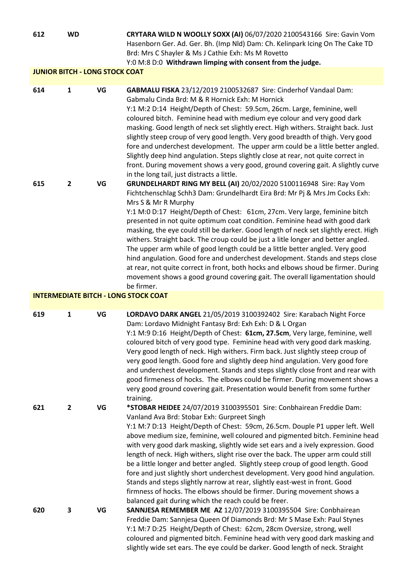**612 WD CRYTARA WILD N WOOLLY SOXX (AI)** 06/07/2020 2100543166 Sire: Gavin Vom Hasenborn Ger. Ad. Ger. Bh. (Imp Nld) Dam: Ch. Kelinpark Icing On The Cake TD Brd: Mrs C Shayler & Ms J Cathie Exh: Ms M Rovetto

Y:0 M:8 D:0 **Withdrawn limping with consent from the judge.**

## **JUNIOR BITCH - LONG STOCK COAT**

| 614 | 1            | VG | GABMALU FISKA 23/12/2019 2100532687 Sire: Cinderhof Vandaal Dam:                                                                                                                                                                                                                                                                                                                                                                                                                                                                                                                                                                                                                             |
|-----|--------------|----|----------------------------------------------------------------------------------------------------------------------------------------------------------------------------------------------------------------------------------------------------------------------------------------------------------------------------------------------------------------------------------------------------------------------------------------------------------------------------------------------------------------------------------------------------------------------------------------------------------------------------------------------------------------------------------------------|
|     |              |    | Gabmalu Cinda Brd: M & R Hornick Exh: M Hornick                                                                                                                                                                                                                                                                                                                                                                                                                                                                                                                                                                                                                                              |
|     |              |    | Y:1 M:2 D:14 Height/Depth of Chest: 59.5cm, 26cm. Large, feminine, well                                                                                                                                                                                                                                                                                                                                                                                                                                                                                                                                                                                                                      |
|     |              |    | coloured bitch. Feminine head with medium eye colour and very good dark<br>masking. Good length of neck set slightly erect. High withers. Straight back. Just<br>slightly steep croup of very good length. Very good breadth of thigh. Very good<br>fore and underchest development. The upper arm could be a little better angled.<br>Slightly deep hind angulation. Steps slightly close at rear, not quite correct in<br>front. During movement shows a very good, ground covering gait. A slightly curve                                                                                                                                                                                 |
|     |              |    | in the long tail, just distracts a little.                                                                                                                                                                                                                                                                                                                                                                                                                                                                                                                                                                                                                                                   |
| 615 | $\mathbf{2}$ | VG | GRUNDELHARDT RING MY BELL (AI) 20/02/2020 5100116948 Sire: Ray Vom                                                                                                                                                                                                                                                                                                                                                                                                                                                                                                                                                                                                                           |
|     |              |    | Fichtchenschlag Schh3 Dam: Grundelhardt Eira Brd: Mr Pj & Mrs Jm Cocks Exh:<br>Mrs S & Mr R Murphy                                                                                                                                                                                                                                                                                                                                                                                                                                                                                                                                                                                           |
|     |              |    | Y:1 M:0 D:17 Height/Depth of Chest: 61cm, 27cm. Very large, feminine bitch<br>presented in not quite optimum coat condition. Feminine head with good dark<br>masking, the eye could still be darker. Good length of neck set slightly erect. High<br>withers. Straight back. The croup could be just a litle longer and better angled.<br>The upper arm while of good length could be a little better angled. Very good<br>hind angulation. Good fore and underchest development. Stands and steps close<br>at rear, not quite correct in front, both hocks and elbows shoud be firmer. During<br>movement shows a good ground covering gait. The overall ligamentation should<br>be firmer. |

### **INTERMEDIATE BITCH - LONG STOCK COAT**

| 619 | 1            | VG | LORDAVO DARK ANGEL 21/05/2019 3100392402 Sire: Karabach Night Force<br>Dam: Lordavo Midnight Fantasy Brd: Exh Exh: D & L Organ                                                                                                                                                                                                                                                                                                                                                                                                                                                                   |
|-----|--------------|----|--------------------------------------------------------------------------------------------------------------------------------------------------------------------------------------------------------------------------------------------------------------------------------------------------------------------------------------------------------------------------------------------------------------------------------------------------------------------------------------------------------------------------------------------------------------------------------------------------|
|     |              |    | Y:1 M:9 D:16 Height/Depth of Chest: 61cm, 27.5cm, Very large, feminine, well<br>coloured bitch of very good type. Feminine head with very good dark masking.<br>Very good length of neck. High withers. Firm back. Just slightly steep croup of<br>very good length. Good fore and slightly deep hind angulation. Very good fore<br>and underchest development. Stands and steps slightly close front and rear with<br>good firmeness of hocks. The elbows could be firmer. During movement shows a<br>very good ground covering gait. Presentation would benefit from some further<br>training. |
| 621 | $\mathbf{2}$ | VG | *STOBAR HEIDEE 24/07/2019 3100395501 Sire: Conbhairean Freddie Dam:                                                                                                                                                                                                                                                                                                                                                                                                                                                                                                                              |
|     |              |    | Vanland Ava Brd: Stobar Exh: Gurpreet Singh                                                                                                                                                                                                                                                                                                                                                                                                                                                                                                                                                      |
|     |              |    | Y:1 M:7 D:13 Height/Depth of Chest: 59cm, 26.5cm. Douple P1 upper left. Well                                                                                                                                                                                                                                                                                                                                                                                                                                                                                                                     |
|     |              |    | above medium size, feminine, well coloured and pigmented bitch. Feminine head                                                                                                                                                                                                                                                                                                                                                                                                                                                                                                                    |
|     |              |    | with very good dark masking, slightly wide set ears and a ively expression. Good                                                                                                                                                                                                                                                                                                                                                                                                                                                                                                                 |
|     |              |    | length of neck. High withers, slight rise over the back. The upper arm could still                                                                                                                                                                                                                                                                                                                                                                                                                                                                                                               |
|     |              |    | be a little longer and better angled. Slightly steep croup of good length. Good                                                                                                                                                                                                                                                                                                                                                                                                                                                                                                                  |
|     |              |    | fore and just slightly short underchest development. Very good hind angulation.                                                                                                                                                                                                                                                                                                                                                                                                                                                                                                                  |
|     |              |    | Stands and steps slightly narrow at rear, slightly east-west in front. Good                                                                                                                                                                                                                                                                                                                                                                                                                                                                                                                      |
|     |              |    | firmness of hocks. The elbows should be firmer. During movement shows a                                                                                                                                                                                                                                                                                                                                                                                                                                                                                                                          |
|     |              |    | balanced gait during which the reach could be freer.                                                                                                                                                                                                                                                                                                                                                                                                                                                                                                                                             |
| 620 | 3            | VG | SANNJESA REMEMBER ME AZ 12/07/2019 3100395504 Sire: Conbhairean<br>Freddie Dam: Sannjesa Queen Of Diamonds Brd: Mr S Mase Exh: Paul Stynes                                                                                                                                                                                                                                                                                                                                                                                                                                                       |
|     |              |    | Y:1 M:7 D:25 Height/Depth of Chest: 62cm, 28cm Oversize, strong, well                                                                                                                                                                                                                                                                                                                                                                                                                                                                                                                            |
|     |              |    | coloured and pigmented bitch. Feminine head with very good dark masking and                                                                                                                                                                                                                                                                                                                                                                                                                                                                                                                      |
|     |              |    | slightly wide set ears. The eye could be darker. Good length of neck. Straight                                                                                                                                                                                                                                                                                                                                                                                                                                                                                                                   |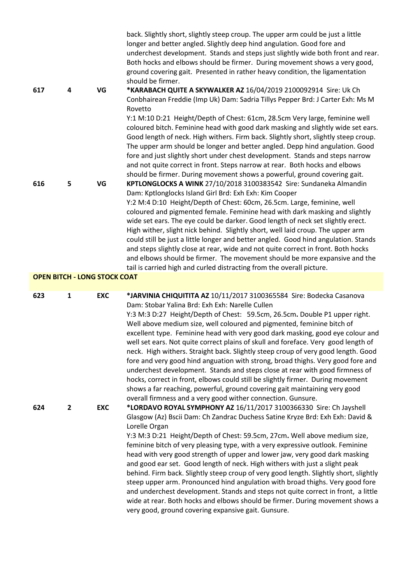|                                     |                |            | back. Slightly short, slightly steep croup. The upper arm could be just a little<br>longer and better angled. Slightly deep hind angulation. Good fore and<br>underchest development. Stands and steps just slightly wide both front and rear.<br>Both hocks and elbows should be firmer. During movement shows a very good,<br>ground covering gait. Presented in rather heavy condition, the ligamentation<br>should be firmer.                                                                                                                                                                                                                                                                                                                                                                                                                                                                                                                |
|-------------------------------------|----------------|------------|--------------------------------------------------------------------------------------------------------------------------------------------------------------------------------------------------------------------------------------------------------------------------------------------------------------------------------------------------------------------------------------------------------------------------------------------------------------------------------------------------------------------------------------------------------------------------------------------------------------------------------------------------------------------------------------------------------------------------------------------------------------------------------------------------------------------------------------------------------------------------------------------------------------------------------------------------|
| 617                                 | 4              | VG         | *KARABACH QUITE A SKYWALKER AZ 16/04/2019 2100092914 Sire: Uk Ch<br>Conbhairean Freddie (Imp Uk) Dam: Sadria Tillys Pepper Brd: J Carter Exh: Ms M<br>Rovetto                                                                                                                                                                                                                                                                                                                                                                                                                                                                                                                                                                                                                                                                                                                                                                                    |
|                                     |                |            | Y:1 M:10 D:21 Height/Depth of Chest: 61cm, 28.5cm Very large, feminine well<br>coloured bitch. Feminine head with good dark masking and slightly wide set ears.<br>Good length of neck. High withers. Firm back. Slightly short, slightly steep croup.<br>The upper arm should be longer and better angled. Depp hind angulation. Good<br>fore and just slightly short under chest development. Stands and steps narrow<br>and not quite correct in front. Steps narrow at rear. Both hocks and elbows<br>should be firmer. During movement shows a powerful, ground covering gait.                                                                                                                                                                                                                                                                                                                                                              |
| 616                                 | 5              | VG         | KPTLONGLOCKS A WINK 27/10/2018 3100383542 Sire: Sundaneka Almandin<br>Dam: Kptlonglocks Island Girl Brd: Exh Exh: Kim Cooper<br>Y:2 M:4 D:10 Height/Depth of Chest: 60cm, 26.5cm. Large, feminine, well<br>coloured and pigmented female. Feminine head with dark masking and slightly<br>wide set ears. The eye could be darker. Good length of neck set slightly erect.<br>High wither, slight nick behind. Slightly short, well laid croup. The upper arm<br>could still be just a little longer and better angled. Good hind angulation. Stands<br>and steps slightly close at rear, wide and not quite correct in front. Both hocks<br>and elbows should be firmer. The movement should be more expansive and the<br>tail is carried high and curled distracting from the overall picture.                                                                                                                                                  |
| <b>OPEN BITCH - LONG STOCK COAT</b> |                |            |                                                                                                                                                                                                                                                                                                                                                                                                                                                                                                                                                                                                                                                                                                                                                                                                                                                                                                                                                  |
| 623                                 | $\mathbf{1}$   | <b>EXC</b> | *JARVINIA CHIQUITITA AZ 10/11/2017 3100365584 Sire: Bodecka Casanova<br>Dam: Stobar Yalina Brd: Exh Exh: Narelle Cullen<br>Y:3 M:3 D:27 Height/Depth of Chest: 59.5cm, 26.5cm. Double P1 upper right.<br>Well above medium size, well coloured and pigmented, feminine bitch of<br>excellent type. Feminine head with very good dark masking, good eye colour and<br>well set ears. Not quite correct plains of skull and foreface. Very good length of<br>neck. High withers. Straight back. Slightly steep croup of very good length. Good<br>fore and very good hind anguation with strong, broad thighs. Very good fore and<br>underchest development. Stands and steps close at rear with good firmness of<br>hocks, correct in front, elbows could still be slightly firmer. During movement<br>shows a far reaching, powerful, ground covering gait maintaining very good<br>overall firmness and a very good wither connection. Gunsure. |
| 624                                 | $\overline{2}$ | <b>EXC</b> | *LORDAVO ROYAL SYMPHONY AZ 16/11/2017 3100366330 Sire: Ch Jayshell<br>Glasgow (Az) Bscii Dam: Ch Zandrac Duchess Satine Kryze Brd: Exh Exh: David &<br>Lorelle Organ<br>Y:3 M:3 D:21 Height/Depth of Chest: 59.5cm, 27cm. Well above medium size,<br>feminine bitch of very pleasing type, with a very expressive outlook. Feminine<br>head with very good strength of upper and lower jaw, very good dark masking<br>and good ear set. Good length of neck. High withers with just a slight peak<br>behind. Firm back. Slightly steep croup of very good length. Slightly short, slightly<br>steep upper arm. Pronounced hind angulation with broad thighs. Very good fore<br>and underchest development. Stands and steps not quite correct in front, a little<br>wide at rear. Both hocks and elbows should be firmer. During movement shows a<br>very good, ground covering expansive gait. Gunsure.                                         |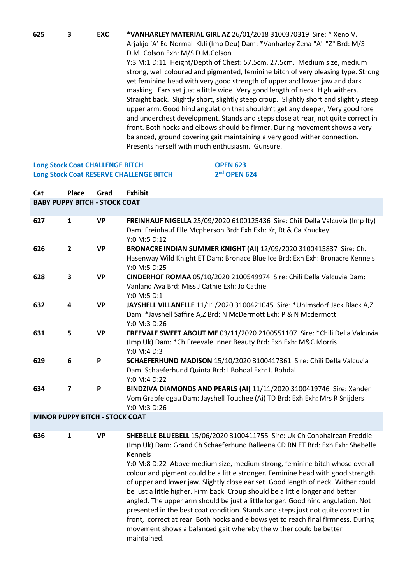**625 3 EXC \*VANHARLEY MATERIAL GIRL AZ** 26/01/2018 3100370319 Sire: \* Xeno V. Arjakjo 'A' Ed Normal Kkli (Imp Deu) Dam: \*Vanharley Zena "A" "Z" Brd: M/S D.M. Colson Exh: M/S D.M.Colson Y:3 M:1 D:11 Height/Depth of Chest: 57.5cm, 27.5cm. Medium size, medium strong, well coloured and pigmented, feminine bitch of very pleasing type. Strong yet feminine head with very good strength of upper and lower jaw and dark masking. Ears set just a little wide. Very good length of neck. High withers. Straight back. Slightly short, slightly steep croup. Slightly short and slightly steep upper arm. Good hind angulation that shouldn't get any deeper, Very good fore and underchest development. Stands and steps close at rear, not quite correct in front. Both hocks and elbows should be firmer. During movement shows a very balanced, ground covering gait maintaining a very good wither connection. Presents herself with much enthusiasm. Gunsure.

**nd OPEN 624**

### **Long Stock Coat CHALLENGE BITCH <b>OPEN 623 Long Stock Coat RESERVE CHALLENGE BITCH 2**

| Cat                                   | Place                   | Grad      | <b>Exhibit</b>                                                                                                                                                     |
|---------------------------------------|-------------------------|-----------|--------------------------------------------------------------------------------------------------------------------------------------------------------------------|
| <b>BABY PUPPY BITCH - STOCK COAT</b>  |                         |           |                                                                                                                                                                    |
| 627                                   | $\mathbf{1}$            | <b>VP</b> | FREINHAUF NIGELLA 25/09/2020 6100125436 Sire: Chili Della Valcuvia (Imp Ity)<br>Dam: Freinhauf Elle Mcpherson Brd: Exh Exh: Kr, Rt & Ca Knuckey<br>Y:0 M:5 D:12    |
| 626                                   | $\overline{2}$          | <b>VP</b> | BRONACRE INDIAN SUMMER KNIGHT (AI) 12/09/2020 3100415837 Sire: Ch.<br>Hasenway Wild Knight ET Dam: Bronace Blue Ice Brd: Exh Exh: Bronacre Kennels<br>Y:0 M:5 D:25 |
| 628                                   | 3                       | <b>VP</b> | CINDERHOF ROMAA 05/10/2020 2100549974 Sire: Chili Della Valcuvia Dam:<br>Vanland Ava Brd: Miss J Cathie Exh: Jo Cathie<br>Y:0 M:5 D:1                              |
| 632                                   | 4                       | <b>VP</b> | JAYSHELL VILLANELLE 11/11/2020 3100421045 Sire: * Uhlmsdorf Jack Black A,Z<br>Dam: *Jayshell Saffire A, Z Brd: N McDermott Exh: P & N Mcdermott<br>Y:0 M:3 D:26    |
| 631                                   | 5.                      | <b>VP</b> | FREEVALE SWEET ABOUT ME 03/11/2020 2100551107 Sire: * Chili Della Valcuvia<br>(Imp Uk) Dam: * Ch Freevale Inner Beauty Brd: Exh Exh: M&C Morris<br>Y:0 M:4 D:3     |
| 629                                   | 6                       | P         | SCHAEFERHUND MADISON 15/10/2020 3100417361 Sire: Chili Della Valcuvia<br>Dam: Schaeferhund Quinta Brd: I Bohdal Exh: I. Bohdal<br>Y:0 M:4 D:22                     |
| 634                                   | $\overline{\mathbf{z}}$ | P         | BINDZIVA DIAMONDS AND PEARLS (AI) 11/11/2020 3100419746 Sire: Xander<br>Vom Grabfeldgau Dam: Jayshell Touchee (Ai) TD Brd: Exh Exh: Mrs R Snijders<br>Y:0 M:3 D:26 |
| <b>MINOR PUPPY BITCH - STOCK COAT</b> |                         |           |                                                                                                                                                                    |

**MINOR PUPPY BITCH - STOCK COAT**

**636 1 VP SHEBELLE BLUEBELL** 15/06/2020 3100411755 Sire: Uk Ch Conbhairean Freddie (Imp Uk) Dam: Grand Ch Schaeferhund Balleena CD RN ET Brd: Exh Exh: Shebelle Kennels

> Y:0 M:8 D:22 Above medium size, medium strong, feminine bitch whose overall colour and pigment could be a little stronger. Feminine head with good strength of upper and lower jaw. Slightly close ear set. Good length of neck. Wither could be just a little higher. Firm back. Croup should be a little longer and better angled. The upper arm should be just a little longer. Good hind angulation. Not presented in the best coat condition. Stands and steps just not quite correct in front, correct at rear. Both hocks and elbows yet to reach final firmness. During movement shows a balanced gait whereby the wither could be better maintained.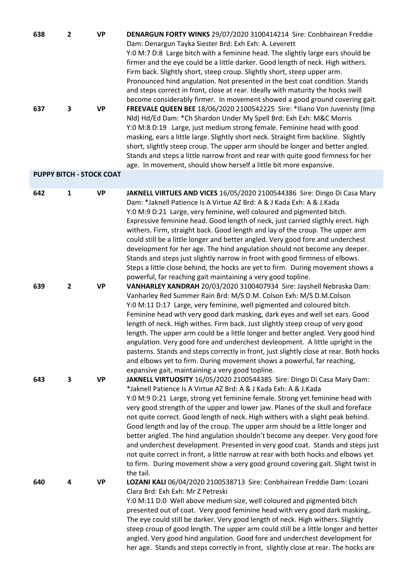| 638 |   | <b>VP</b>                       | DENARGUN FORTY WINKS 29/07/2020 3100414214 Sire: Conbhairean Freddie                |
|-----|---|---------------------------------|-------------------------------------------------------------------------------------|
|     |   |                                 | Dam: Denargun Tayka Siester Brd: Exh Exh: A. Leverett                               |
|     |   |                                 | Y:0 M:7 D:8 Large bitch with a feminine head. The slightly large ears should be     |
|     |   |                                 | firmer and the eye could be a little darker. Good length of neck. High withers.     |
|     |   |                                 | Firm back. Slightly short, steep croup. Slightly short, steep upper arm.            |
|     |   |                                 | Pronounced hind angulation. Not presented in the best coat condition. Stands        |
|     |   |                                 | and steps correct in front, close at rear. Ideally with maturity the hocks swill    |
|     |   |                                 | become considerably firmer. In movement showed a good ground covering gait.         |
| 637 | 3 | <b>VP</b>                       | FREEVALE QUEEN BEE 18/06/2020 2100542225 Sire: *Iliano Von Juvenisty (Imp           |
|     |   |                                 | Nld) Hd/Ed Dam: *Ch Shardon Under My Spell Brd: Exh Exh: M&C Morris                 |
|     |   |                                 | Y:0 M:8 D:19 Large, just medium strong female. Feminine head with good              |
|     |   |                                 | masking, ears a little large. Slightly short neck. Straight firm backline. Slightly |
|     |   |                                 | short, slightly steep croup. The upper arm should be longer and better angled.      |
|     |   |                                 | Stands and steps a little narrow front and rear with quite good firmness for her    |
|     |   |                                 | age. In movement, should show herself a little bit more expansive.                  |
|     |   | <b>PUPPY BITCH - STOCK COAT</b> |                                                                                     |

### **642 1 VP JAKNELL VIRTUES AND VICES** 16/05/2020 2100544386 Sire: Dingo Di Casa Mary Dam: \*Jaknell Patience Is A Virtue AZ Brd: A & J Kada Exh: A & J.Kada Y:0 M:9 D:21 Large, very feminine, well coloured and pigmented bitch. Expressive feminine head. Good length of neck, just carried sligthly erect. high withers. Firm, straight back. Good length and lay of the croup. The upper arm could still be a little longer and better angled. Very good fore and underchest development for her age. The hind angulation should not become any deeper. Stands and steps just slightly narrow in front with good firmness of elbows. Steps a little close behind, the hocks are yet to firm. During movement shows a powerful, far reaching gait maintaining a very good topline. **639 2 VP VANHARLEY XANDRAH** 20/03/2020 3100407934 Sire: Jayshell Nebraska Dam: Vanharley Red Summer Rain Brd: M/S D.M. Colson Exh: M/S D.M.Colson Y:0 M:11 D:17 Large, very feminine, well pigmented and coloured bitch. Feminine head wth very good dark masking, dark eyes and well set ears. Good length of neck. High withes. Firm back. Just slightly steep croup of very good length. The upper arm could be a little longer and better angled. Very good hind angulation. Very good fore and underchest devleopment. A little upright in the pasterns. Stands and steps correctly in front, just slightly close at rear. Both hocks and elbows yet to firm. During movement shows a powerful, far reaching, expansive gait, maintaining a very good topline. **643 3 VP JAKNELL VIRTUOSITY** 16/05/2020 2100544385 Sire: Dingo Di Casa Mary Dam: \*Jaknell Patience Is A Virtue AZ Brd: A & J Kada Exh: A & J.Kada Y:0 M:9 D:21 Large, strong yet feminine female. Strong yet feminine head with very good strength of the upper and lower jaw. Planes of the skull and foreface not quite correct. Good length of neck. High withers with a slight peak behind. Good length and lay of the croup. The upper arm should be a little longer and better angled. The hind angulation shouldn't become any deeper. Very good fore and underchest development. Presented in very good coat. Stands and steps just not quite correct in front, a little narrow at rear with both hocks and elbows yet to firm. During movement show a very good ground covering gait. Slight twist in the tail. **640 4 VP LOZANI KALI** 06/04/2020 2100538713 Sire: Conbhairean Freddie Dam: Lozani Clara Brd: Exh Exh: Mr Z Petreski Y:0 M:11 D:0 Well above medium size, well coloured and pigmented bitch presented out of coat. Very good feminine head with very good dark masking,.

The eye could still be darker. Very good length of neck. High withers. Slightly steep croup of good length. The upper arm could still be a little longer and better angled. Very good hind angulation. Good fore and underchest development for her age. Stands and steps correctly in front, slightly close at rear. The hocks are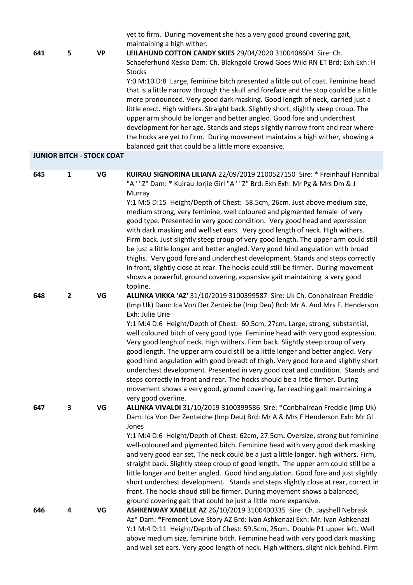|     |                         |                                  | yet to firm. During movement she has a very good ground covering gait,                                                                                                    |
|-----|-------------------------|----------------------------------|---------------------------------------------------------------------------------------------------------------------------------------------------------------------------|
| 641 | 5                       | <b>VP</b>                        | maintaining a high wither.<br>LEILAHUND COTTON CANDY SKIES 29/04/2020 3100408604 Sire: Ch.<br>Schaeferhund Xesko Dam: Ch. Blakngold Crowd Goes Wild RN ET Brd: Exh Exh: H |
|     |                         |                                  | <b>Stocks</b><br>Y:0 M:10 D:8 Large, feminine bitch presented a little out of coat. Feminine head                                                                         |
|     |                         |                                  | that is a little narrow through the skull and foreface and the stop could be a little                                                                                     |
|     |                         |                                  | more pronounced. Very good dark masking. Good length of neck, carried just a                                                                                              |
|     |                         |                                  | little erect. High withers. Straight back. Slightly short, slightly steep croup. The                                                                                      |
|     |                         |                                  | upper arm should be longer and better angled. Good fore and underchest<br>development for her age. Stands and steps slightly narrow front and rear where                  |
|     |                         |                                  | the hocks are yet to firm. During movement maintains a high wither, showing a                                                                                             |
|     |                         |                                  | balanced gait that could be a little more expansive.                                                                                                                      |
|     |                         | <b>JUNIOR BITCH - STOCK COAT</b> |                                                                                                                                                                           |
| 645 | $\mathbf{1}$            | VG                               | KUIRAU SIGNORINA LILIANA 22/09/2019 2100527150 Sire: * Freinhauf Hannibal                                                                                                 |
|     |                         |                                  | "A" "Z" Dam: * Kuirau Jorjie Girl "A" "Z" Brd: Exh Exh: Mr Pg & Mrs Dm & J<br>Murray                                                                                      |
|     |                         |                                  | Y:1 M:5 D:15 Height/Depth of Chest: 58.5cm, 26cm. Just above medium size,                                                                                                 |
|     |                         |                                  | medium strong, very feminine, well coloured and pigmented female of very                                                                                                  |
|     |                         |                                  | good type. Presented in very good condition. Very good head and epxression<br>with dark masking and well set ears. Very good length of neck. High withers.                |
|     |                         |                                  | Firm back. Just slightly steep croup of very good length. The upper arm could still                                                                                       |
|     |                         |                                  | be just a little longer and better angled. Very good hind angulation with broad                                                                                           |
|     |                         |                                  | thighs. Very good fore and underchest development. Stands and steps correctly                                                                                             |
|     |                         |                                  | in front, slightly close at rear. The hocks could still be firmer. During movement<br>shows a powerful, ground covering, expansive gait maintaining a very good           |
|     |                         |                                  | topline.                                                                                                                                                                  |
| 648 | $\mathbf{2}$            | VG                               | ALLINKA VIKKA 'AZ' 31/10/2019 3100399587 Sire: Uk Ch. Conbhairean Freddie                                                                                                 |
|     |                         |                                  | (Imp Uk) Dam: Ica Von Der Zenteiche (Imp Deu) Brd: Mr A. And Mrs F. Henderson<br>Exh: Julie Urie                                                                          |
|     |                         |                                  | Y:1 M:4 D:6 Height/Depth of Chest: 60.5cm, 27cm. Large, strong, substantial,                                                                                              |
|     |                         |                                  | well coloured bitch of very good type. Feminine head with very good expression.                                                                                           |
|     |                         |                                  | Very good lengh of neck. High withers. Firm back. Slightly steep croup of very<br>good length. The upper arm could still be a little longer and better angled. Very       |
|     |                         |                                  | good hind angulation with good breadt of thigh. Very good fore and slightly short                                                                                         |
|     |                         |                                  | underchest development. Presented in very good coat and condition. Stands and                                                                                             |
|     |                         |                                  | steps correctly in front and rear. The hocks should be a little firmer. During<br>movement shows a very good, ground covering, far reaching gait maintaining a            |
|     |                         |                                  | very good overline.                                                                                                                                                       |
| 647 | $\overline{\mathbf{3}}$ | VG                               | ALLINKA VIVALDI 31/10/2019 3100399586 Sire: *Conbhairean Freddie (Imp Uk)                                                                                                 |
|     |                         |                                  | Dam: Ica Von Der Zenteiche (Imp Deu) Brd: Mr A & Mrs F Henderson Exh: Mr Gl                                                                                               |
|     |                         |                                  | Jones<br>Y:1 M:4 D:6 Height/Depth of Chest: 62cm, 27.5cm. Oversize, strong but feminine                                                                                   |
|     |                         |                                  | well-coloured and pigmented bitch. Feminine head with very good dark masking                                                                                              |
|     |                         |                                  | and very good ear set, The neck could be a just a little longer. high withers. Firm,                                                                                      |
|     |                         |                                  | straight back. Slightly steep croup of good length. The upper arm could still be a<br>little longer and better angled. Good hind angulation. Good fore and just slightly  |
|     |                         |                                  | short underchest development. Stands and steps slightly close at rear, correct in                                                                                         |
|     |                         |                                  | front. The hocks shoud still be firmer. During movement shows a balanced,                                                                                                 |
|     |                         |                                  | ground covering gait that could be just a little more expansive.                                                                                                          |
| 646 | 4                       | VG                               | ASHKENWAY XABELLE AZ 26/10/2019 3100400335 Sire: Ch. Jayshell Nebrask<br>Az* Dam: *Fremont Love Story AZ Brd: Ivan Ashkenazi Exh: Mr. Ivan Ashkenazi                      |
|     |                         |                                  | Y:1 M:4 D:11 Height/Depth of Chest: 59.5cm, 25cm. Double P1 upper left. Well                                                                                              |
|     |                         |                                  | above medium size, feminine bitch. Feminine head with very good dark masking                                                                                              |
|     |                         |                                  | and well set ears. Very good length of neck. High withers, slight nick behind. Firm                                                                                       |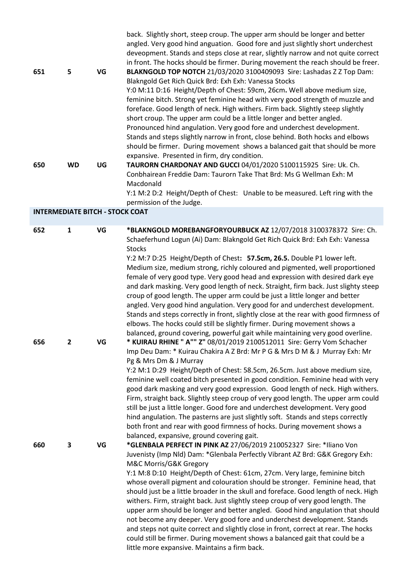| 651<br>650                             | 5<br><b>WD</b>                 | VG<br>UG | back. Slightly short, steep croup. The upper arm should be longer and better<br>angled. Very good hind anguation. Good fore and just slightly short underchest<br>deveopment. Stands and steps close at rear, slightly narrow and not quite correct<br>in front. The hocks should be firmer. During movement the reach should be freer.<br>BLAKNGOLD TOP NOTCH 21/03/2020 3100409093 Sire: Lashadas Z Z Top Dam:<br>Blakngold Get Rich Quick Brd: Exh Exh: Vanessa Stocks<br>Y:0 M:11 D:16 Height/Depth of Chest: 59cm, 26cm. Well above medium size,<br>feminine bitch. Strong yet feminine head with very good strength of muzzle and<br>foreface. Good length of neck. High withers. Firm back. Slightly steep slightly<br>short croup. The upper arm could be a little longer and better angled.<br>Pronounced hind angulation. Very good fore and underchest development.<br>Stands and steps slightly narrow in front, close behind. Both hocks and elbows<br>should be firmer. During movement shows a balanced gait that should be more<br>expansive. Presented in firm, dry condition.<br>TAURORN CHARDONAY AND GUCCI 04/01/2020 5100115925 Sire: Uk. Ch.<br>Conbhairean Freddie Dam: Taurorn Take That Brd: Ms G Wellman Exh: M<br>Macdonald<br>Y:1 M:2 D:2 Height/Depth of Chest: Unable to be measured. Left ring with the                                                                                                                                                                                                                                                                                                                                                                                                                   |
|----------------------------------------|--------------------------------|----------|----------------------------------------------------------------------------------------------------------------------------------------------------------------------------------------------------------------------------------------------------------------------------------------------------------------------------------------------------------------------------------------------------------------------------------------------------------------------------------------------------------------------------------------------------------------------------------------------------------------------------------------------------------------------------------------------------------------------------------------------------------------------------------------------------------------------------------------------------------------------------------------------------------------------------------------------------------------------------------------------------------------------------------------------------------------------------------------------------------------------------------------------------------------------------------------------------------------------------------------------------------------------------------------------------------------------------------------------------------------------------------------------------------------------------------------------------------------------------------------------------------------------------------------------------------------------------------------------------------------------------------------------------------------------------------------------------------------------------------------------------------|
| <b>INTERMEDIATE BITCH - STOCK COAT</b> |                                |          | permission of the Judge.                                                                                                                                                                                                                                                                                                                                                                                                                                                                                                                                                                                                                                                                                                                                                                                                                                                                                                                                                                                                                                                                                                                                                                                                                                                                                                                                                                                                                                                                                                                                                                                                                                                                                                                                 |
|                                        |                                |          |                                                                                                                                                                                                                                                                                                                                                                                                                                                                                                                                                                                                                                                                                                                                                                                                                                                                                                                                                                                                                                                                                                                                                                                                                                                                                                                                                                                                                                                                                                                                                                                                                                                                                                                                                          |
| 652<br>656                             | $\mathbf{1}$<br>$\overline{2}$ | VG<br>VG | *BLAKNGOLD MOREBANGFORYOURBUCK AZ 12/07/2018 3100378372 Sire: Ch.<br>Schaeferhund Logun (Ai) Dam: Blakngold Get Rich Quick Brd: Exh Exh: Vanessa<br><b>Stocks</b><br>Y:2 M:7 D:25 Height/Depth of Chest: 57.5cm, 26.5. Double P1 lower left.<br>Medium size, medium strong, richly coloured and pigmented, well proportioned<br>female of very good type. Very good head and expression with desired dark eye<br>and dark masking. Very good length of neck. Straight, firm back. Just slighty steep<br>croup of good length. The upper arm could be just a little longer and better<br>angled. Very good hind angulation. Very good for and underchest development.<br>Stands and steps correctly in front, slightly close at the rear with good firmness of<br>elbows. The hocks could still be slightly firmer. During movement shows a<br>balanced, ground covering, powerful gait while maintaining very good overline.<br>* KUIRAU RHINE " A"" Z" 08/01/2019 2100512011 Sire: Gerry Vom Schacher<br>Imp Deu Dam: * Kuirau Chakira A Z Brd: Mr P G & Mrs D M & J Murray Exh: Mr<br>Pg & Mrs Dm & J Murray<br>Y:2 M:1 D:29 Height/Depth of Chest: 58.5cm, 26.5cm. Just above medium size,<br>feminine well coated bitch presented in good condition. Feminine head with very<br>good dark masking and very good expression. Good length of neck. High withers.<br>Firm, straight back. Slightly steep croup of very good length. The upper arm could<br>still be just a little longer. Good fore and underchest development. Very good<br>hind angulation. The pasterns are just slightly soft. Stands and steps correctly<br>both front and rear with good firmness of hocks. During movement shows a<br>balanced, expansive, ground covering gait. |
| 660                                    | 3                              | VG       | *GLENBALA PERFECT IN PINK AZ 27/06/2019 210052327 Sire: *Iliano Von<br>Juvenisty (Imp Nld) Dam: *Glenbala Perfectly Vibrant AZ Brd: G&K Gregory Exh:<br>M&C Morris/G&K Gregory<br>Y:1 M:8 D:10 Height/Depth of Chest: 61cm, 27cm. Very large, feminine bitch<br>whose overall pigment and colouration should be stronger. Feminine head, that<br>should just be a little broader in the skull and foreface. Good length of neck. High<br>withers. Firm, straight back. Just slightly steep croup of very good length. The<br>upper arm should be longer and better angled. Good hind angulation that should<br>not become any deeper. Very good fore and underchest development. Stands<br>and steps not quite correct and slightly close in front, correct at rear. The hocks<br>could still be firmer. During movement shows a balanced gait that could be a                                                                                                                                                                                                                                                                                                                                                                                                                                                                                                                                                                                                                                                                                                                                                                                                                                                                                           |

little more expansive. Maintains a firm back.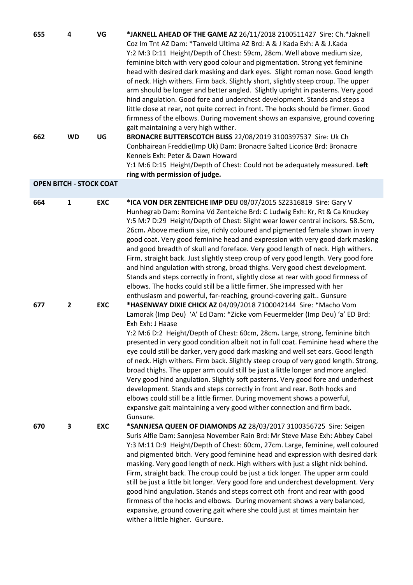| 655                            | 4              | VG         | *JAKNELL AHEAD OF THE GAME AZ 26/11/2018 2100511427 Sire: Ch. *Jaknell<br>Coz Im Tnt AZ Dam: *Tanveld Ultima AZ Brd: A & J Kada Exh: A & J.Kada<br>Y:2 M:3 D:11 Height/Depth of Chest: 59cm, 28cm. Well above medium size,<br>feminine bitch with very good colour and pigmentation. Strong yet feminine<br>head with desired dark masking and dark eyes. Slight roman nose. Good length<br>of neck. High withers. Firm back. Slightly short, slightly steep croup. The upper<br>arm should be longer and better angled. Slightly upright in pasterns. Very good<br>hind angulation. Good fore and underchest development. Stands and steps a<br>little close at rear, not quite correct in front. The hocks should be firmer. Good<br>firmness of the elbows. During movement shows an expansive, ground covering<br>gait maintaining a very high wither.                                                                               |
|--------------------------------|----------------|------------|------------------------------------------------------------------------------------------------------------------------------------------------------------------------------------------------------------------------------------------------------------------------------------------------------------------------------------------------------------------------------------------------------------------------------------------------------------------------------------------------------------------------------------------------------------------------------------------------------------------------------------------------------------------------------------------------------------------------------------------------------------------------------------------------------------------------------------------------------------------------------------------------------------------------------------------|
| 662                            | <b>WD</b>      | UG         | BRONACRE BUTTERSCOTCH BLISS 22/08/2019 3100397537 Sire: Uk Ch<br>Conbhairean Freddie(Imp Uk) Dam: Bronacre Salted Licorice Brd: Bronacre<br>Kennels Exh: Peter & Dawn Howard<br>Y:1 M:6 D:15 Height/Depth of Chest: Could not be adequately measured. Left<br>ring with permission of judge.                                                                                                                                                                                                                                                                                                                                                                                                                                                                                                                                                                                                                                             |
| <b>OPEN BITCH - STOCK COAT</b> |                |            |                                                                                                                                                                                                                                                                                                                                                                                                                                                                                                                                                                                                                                                                                                                                                                                                                                                                                                                                          |
| 664                            | $\mathbf{1}$   | <b>EXC</b> | *ICA VON DER ZENTEICHE IMP DEU 08/07/2015 SZ2316819 Sire: Gary V<br>Hunhegrab Dam: Romina Vd Zenteiche Brd: C Ludwig Exh: Kr, Rt & Ca Knuckey<br>Y:5 M:7 D:29 Height/Depth of Chest: Slight wear lower central incisors. 58.5cm,<br>26cm. Above medium size, richly coloured and pigmented female shown in very<br>good coat. Very good feminine head and expression with very good dark masking<br>and good breadth of skull and foreface. Very good length of neck. High withers.<br>Firm, straight back. Just slightly steep croup of very good length. Very good fore<br>and hind angulation with strong, broad thighs. Very good chest development.<br>Stands and steps correctly in front, slightly close at rear with good firmness of<br>elbows. The hocks could still be a little firmer. She impressed with her<br>enthusiasm and powerful, far-reaching, ground-covering gait Gunsure                                         |
| 677                            | $\overline{2}$ | <b>EXC</b> | *HASENWAY DIXIE CHICK AZ 04/09/2018 7100042144 Sire: *Macho Vom<br>Lamorak (Imp Deu) 'A' Ed Dam: *Zicke vom Feuermelder (Imp Deu) 'a' ED Brd:<br>Exh Exh: J Haase<br>Y:2 M:6 D:2 Height/Depth of Chest: 60cm, 28cm. Large, strong, feminine bitch<br>presented in very good condition albeit not in full coat. Feminine head where the<br>eye could still be darker, very good dark masking and well set ears. Good length<br>of neck. High withers. Firm back. Slightly steep croup of very good length. Strong,<br>broad thighs. The upper arm could still be just a little longer and more angled.<br>Very good hind angulation. Slightly soft pasterns. Very good fore and underhest<br>development. Stands and steps correctly in front and rear. Both hocks and<br>elbows could still be a little firmer. During movement shows a powerful,<br>expansive gait maintaining a very good wither connection and firm back.<br>Gunsure. |
| 670                            | 3              | <b>EXC</b> | *SANNJESA QUEEN OF DIAMONDS AZ 28/03/2017 3100356725 Sire: Seigen<br>Suris Alfie Dam: Sannjesa November Rain Brd: Mr Steve Mase Exh: Abbey Cabel<br>Y:3 M:11 D:9 Height/Depth of Chest: 60cm, 27cm. Large, feminine, well coloured<br>and pigmented bitch. Very good feminine head and expression with desired dark<br>masking. Very good length of neck. High withers with just a slight nick behind.<br>Firm, straight back. The croup could be just a tick longer. The upper arm could<br>still be just a little bit longer. Very good fore and underchest development. Very<br>good hind angulation. Stands and steps correct oth front and rear with good<br>firmness of the hocks and elbows. During movement shows a very balanced,<br>expansive, ground covering gait where she could just at times maintain her<br>wither a little higher. Gunsure.                                                                             |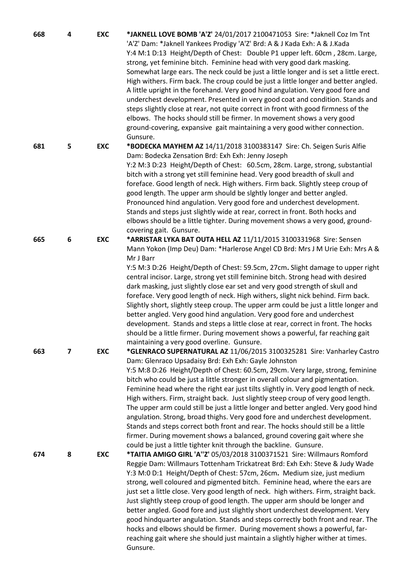| 668 | 4 | <b>EXC</b> | *JAKNELL LOVE BOMB 'A'Z' 24/01/2017 2100471053 Sire: *Jaknell Coz Im Tnt<br>'A'Z' Dam: *Jaknell Yankees Prodigy 'A'Z' Brd: A & J Kada Exh: A & J.Kada<br>Y:4 M:1 D:13 Height/Depth of Chest: Double P1 upper left. 60cm, 28cm. Large,<br>strong, yet feminine bitch. Feminine head with very good dark masking.<br>Somewhat large ears. The neck could be just a little longer and is set a little erect.<br>High withers. Firm back. The croup could be just a little longer and better angled.<br>A little upright in the forehand. Very good hind angulation. Very good fore and<br>underchest development. Presented in very good coat and condition. Stands and<br>steps slightly close at rear, not quite correct in front with good firmness of the<br>elbows. The hocks should still be firmer. In movement shows a very good<br>ground-covering, expansive gait maintaining a very good wither connection.<br>Gunsure. |
|-----|---|------------|---------------------------------------------------------------------------------------------------------------------------------------------------------------------------------------------------------------------------------------------------------------------------------------------------------------------------------------------------------------------------------------------------------------------------------------------------------------------------------------------------------------------------------------------------------------------------------------------------------------------------------------------------------------------------------------------------------------------------------------------------------------------------------------------------------------------------------------------------------------------------------------------------------------------------------|
| 681 | 5 | <b>EXC</b> | *BODECKA MAYHEM AZ 14/11/2018 3100383147 Sire: Ch. Seigen Suris Alfie<br>Dam: Bodecka Zensation Brd: Exh Exh: Jenny Joseph<br>Y:2 M:3 D:23 Height/Depth of Chest: 60.5cm, 28cm. Large, strong, substantial<br>bitch with a strong yet still feminine head. Very good breadth of skull and<br>foreface. Good length of neck. High withers. Firm back. Slightly steep croup of<br>good length. The upper arm should be sightly longer and better angled.<br>Pronounced hind angulation. Very good fore and underchest development.<br>Stands and steps just slightly wide at rear, correct in front. Both hocks and<br>elbows should be a little tighter. During movement shows a very good, ground-<br>covering gait. Gunsure.                                                                                                                                                                                                   |
| 665 | 6 | <b>EXC</b> | *ARRISTAR LYKA BAT OUTA HELL AZ 11/11/2015 3100331968 Sire: Sensen<br>Mann Yokon (Imp Deu) Dam: *Harlerose Angel CD Brd: Mrs J M Urie Exh: Mrs A &<br>Mr J Barr<br>Y:5 M:3 D:26 Height/Depth of Chest: 59.5cm, 27cm. Slight damage to upper right<br>central incisor. Large, strong yet still feminine bitch. Strong head with desired<br>dark masking, just slightly close ear set and very good strength of skull and<br>foreface. Very good length of neck. High withers, slight nick behind. Firm back.<br>Slightly short, slightly steep croup. The upper arm could be just a little longer and<br>better angled. Very good hind angulation. Very good fore and underchest<br>development. Stands and steps a little close at rear, correct in front. The hocks<br>should be a little firmer. During movement shows a powerful, far reaching gait<br>maintaining a very good overline. Gunsure.                            |
| 663 | 7 | <b>EXC</b> | *GLENRACO SUPERNATURAL AZ 11/06/2015 3100325281 Sire: Vanharley Castro<br>Dam: Glenraco Upsadaisy Brd: Exh Exh: Gayle Johnston<br>Y:5 M:8 D:26 Height/Depth of Chest: 60.5cm, 29cm. Very large, strong, feminine<br>bitch who could be just a little stronger in overall colour and pigmentation.<br>Feminine head where the right ear just tilts slightly in. Very good length of neck.<br>High withers. Firm, straight back. Just slightly steep croup of very good length.<br>The upper arm could still be just a little longer and better angled. Very good hind<br>angulation. Strong, broad thighs. Very good fore and underchest development.<br>Stands and steps correct both front and rear. The hocks should still be a little<br>firmer. During movement shows a balanced, ground covering gait where she<br>could be just a little tighter knit through the backline. Gunsure.                                      |
| 674 | 8 | <b>EXC</b> | *TAITIA AMIGO GIRL 'A"Z' 05/03/2018 3100371521 Sire: Willmaurs Romford<br>Reggie Dam: Willmaurs Tottenham Trickatreat Brd: Exh Exh: Steve & Judy Wade<br>Y:3 M:0 D:1 Height/Depth of Chest: 57cm, 26cm. Medium size, just medium<br>strong, well coloured and pigmented bitch. Feminine head, where the ears are<br>just set a little close. Very good length of neck. high withers. Firm, straight back.<br>Just slightly steep croup of good length. The upper arm should be longer and<br>better angled. Good fore and just slightly short underchest development. Very<br>good hindquarter angulation. Stands and steps correctly both front and rear. The<br>hocks and elbows should be firmer. During movement shows a powerful, far-<br>reaching gait where she should just maintain a slightly higher wither at times.<br>Gunsure.                                                                                      |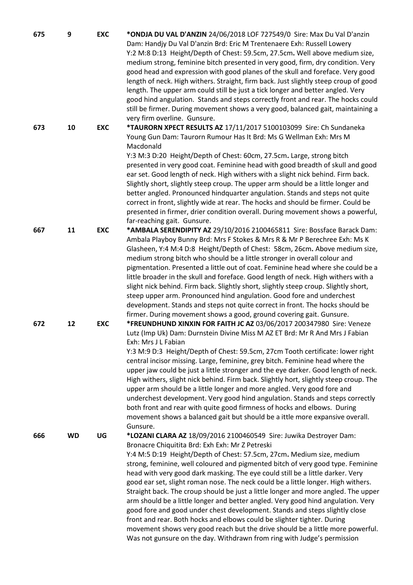| 675 | 9         | <b>EXC</b> | *ONDJA DU VAL D'ANZIN 24/06/2018 LOF 727549/0 Sire: Max Du Val D'anzin<br>Dam: Handjy Du Val D'anzin Brd: Eric M Trentenaere Exh: Russell Lowery<br>Y:2 M:8 D:13 Height/Depth of Chest: 59.5cm, 27.5cm. Well above medium size,<br>medium strong, feminine bitch presented in very good, firm, dry condition. Very<br>good head and expression with good planes of the skull and foreface. Very good<br>length of neck. High withers. Straight, firm back. Just slightly steep croup of good<br>length. The upper arm could still be just a tick longer and better angled. Very<br>good hind angulation. Stands and steps correctly front and rear. The hocks could<br>still be firmer. During movement shows a very good, balanced gait, maintaining a<br>very firm overline. Gunsure.                                                                                                                                                                   |
|-----|-----------|------------|-----------------------------------------------------------------------------------------------------------------------------------------------------------------------------------------------------------------------------------------------------------------------------------------------------------------------------------------------------------------------------------------------------------------------------------------------------------------------------------------------------------------------------------------------------------------------------------------------------------------------------------------------------------------------------------------------------------------------------------------------------------------------------------------------------------------------------------------------------------------------------------------------------------------------------------------------------------|
| 673 | 10        | <b>EXC</b> | *TAURORN XPECT RESULTS AZ 17/11/2017 5100103099 Sire: Ch Sundaneka<br>Young Gun Dam: Taurorn Rumour Has It Brd: Ms G Wellman Exh: Mrs M<br>Macdonald<br>Y:3 M:3 D:20 Height/Depth of Chest: 60cm, 27.5cm. Large, strong bitch<br>presented in very good coat. Feminine head with good breadth of skull and good<br>ear set. Good length of neck. High withers with a slight nick behind. Firm back.<br>Slightly short, slightly steep croup. The upper arm should be a little longer and<br>better angled. Pronounced hindquarter angulation. Stands and steps not quite<br>correct in front, slightly wide at rear. The hocks and should be firmer. Could be<br>presented in firmer, drier condition overall. During movement shows a powerful,<br>far-reaching gait. Gunsure.                                                                                                                                                                           |
| 667 | 11        | <b>EXC</b> | *AMBALA SERENDIPITY AZ 29/10/2016 2100465811 Sire: Bossface Barack Dam:<br>Ambala Playboy Bunny Brd: Mrs F Stokes & Mrs R & Mr P Berechree Exh: Ms K<br>Glasheen, Y:4 M:4 D:8 Height/Depth of Chest: 58cm, 26cm. Above medium size,<br>medium strong bitch who should be a little stronger in overall colour and<br>pigmentation. Presented a little out of coat. Feminine head where she could be a<br>little broader in the skull and foreface. Good length of neck. High withers with a<br>slight nick behind. Firm back. Slightly short, slightly steep croup. Slightly short,<br>steep upper arm. Pronounced hind angulation. Good fore and underchest<br>development. Stands and steps not quite correct in front. The hocks should be<br>firmer. During movement shows a good, ground covering gait. Gunsure.                                                                                                                                      |
| 672 | 12        | <b>EXC</b> | *FREUNDHUND XINXIN FOR FAITH JC AZ 03/06/2017 200347980 Sire: Veneze<br>Lutz (Imp Uk) Dam: Durnstein Divine Miss M AZ ET Brd: Mr R And Mrs J Fabian<br>Exh: Mrs J L Fabian<br>Y:3 M:9 D:3 Height/Depth of Chest: 59.5cm, 27cm Tooth certificate: lower right<br>central incisor missing. Large, feminine, grey bitch. Feminine head where the<br>upper jaw could be just a little stronger and the eye darker. Good length of neck.<br>High withers, slight nick behind. Firm back. Slightly hort, slightly steep croup. The<br>upper arm should be a little longer and more angled. Very good fore and<br>underchest development. Very good hind angulation. Stands and steps correctly<br>both front and rear with quite good firmness of hocks and elbows. During<br>movement shows a balanced gait but should be a ittle more expansive overall.<br>Gunsure.                                                                                          |
| 666 | <b>WD</b> | UG         | *LOZANI CLARA AZ 18/09/2016 2100460549 Sire: Juwika Destroyer Dam:<br>Bronacre Chiquitita Brd: Exh Exh: Mr Z Petreski<br>Y:4 M:5 D:19 Height/Depth of Chest: 57.5cm, 27cm. Medium size, medium<br>strong, feminine, well coloured and pigmented bitch of very good type. Feminine<br>head with very good dark masking. The eye could still be a little darker. Very<br>good ear set, slight roman nose. The neck could be a little longer. High withers.<br>Straight back. The croup should be just a little longer and more angled. The upper<br>arm should be a little longer and better angled. Very good hind angulation. Very<br>good fore and good under chest development. Stands and steps slightly close<br>front and rear. Both hocks and elbows could be slighter tighter. During<br>movement shows very good reach but the drive should be a little more powerful.<br>Was not gunsure on the day. Withdrawn from ring with Judge's permission |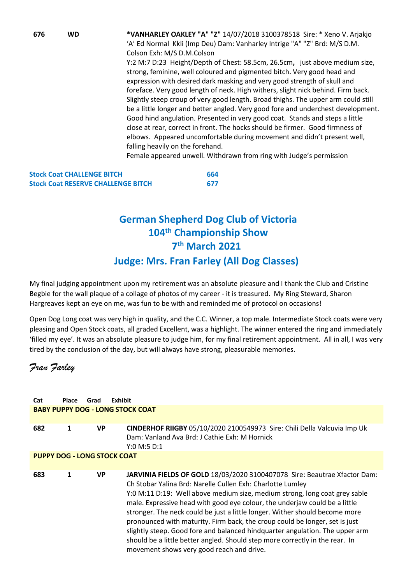**676 WD \*VANHARLEY OAKLEY "A" "Z"** 14/07/2018 3100378518 Sire: \* Xeno V. Arjakjo 'A' Ed Normal Kkli (Imp Deu) Dam: Vanharley Intrige "A" "Z" Brd: M/S D.M. Colson Exh: M/S D.M.Colson Y:2 M:7 D:23 Height/Depth of Chest: 58.5cm, 26.5cm**,** just above medium size, strong, feminine, well coloured and pigmented bitch. Very good head and expression with desired dark masking and very good strength of skull and foreface. Very good length of neck. High withers, slight nick behind. Firm back. Slightly steep croup of very good length. Broad thighs. The upper arm could still be a little longer and better angled. Very good fore and underchest development. Good hind angulation. Presented in very good coat. Stands and steps a little close at rear, correct in front. The hocks should be firmer. Good firmness of elbows. Appeared uncomfortable during movement and didn't present well, falling heavily on the forehand.

Female appeared unwell. Withdrawn from ring with Judge's permission

| <b>Stock Coat CHALLENGE BITCH</b>         | 664 |
|-------------------------------------------|-----|
| <b>Stock Coat RESERVE CHALLENGE BITCH</b> | 677 |

# **German Shepherd Dog Club of Victoria 104th Championship Show 7 th March 2021**

# **Judge: Mrs. Fran Farley (All Dog Classes)**

My final judging appointment upon my retirement was an absolute pleasure and I thank the Club and Cristine Begbie for the wall plaque of a collage of photos of my career - it is treasured. My Ring Steward, Sharon Hargreaves kept an eye on me, was fun to be with and reminded me of protocol on occasions!

Open Dog Long coat was very high in quality, and the C.C. Winner, a top male. Intermediate Stock coats were very pleasing and Open Stock coats, all graded Excellent, was a highlight. The winner entered the ring and immediately 'filled my eye'. It was an absolute pleasure to judge him, for my final retirement appointment. All in all, I was very tired by the conclusion of the day, but will always have strong, pleasurable memories.

*Fran Farley*

| Cat | <b>Place</b>                            | Grad      | Exhibit                                                                                                                                                                                                                                                                                                                                                                                                                                                                                                                                                                                                                                                                        |  |  |  |
|-----|-----------------------------------------|-----------|--------------------------------------------------------------------------------------------------------------------------------------------------------------------------------------------------------------------------------------------------------------------------------------------------------------------------------------------------------------------------------------------------------------------------------------------------------------------------------------------------------------------------------------------------------------------------------------------------------------------------------------------------------------------------------|--|--|--|
|     | <b>BABY PUPPY DOG - LONG STOCK COAT</b> |           |                                                                                                                                                                                                                                                                                                                                                                                                                                                                                                                                                                                                                                                                                |  |  |  |
| 682 | 1                                       | <b>VP</b> | CINDERHOF RIIGBY 05/10/2020 2100549973 Sire: Chili Della Valcuvia Imp Uk<br>Dam: Vanland Ava Brd: J Cathie Exh: M Hornick<br>Y:0 M:5 D:1                                                                                                                                                                                                                                                                                                                                                                                                                                                                                                                                       |  |  |  |
|     | <b>PUPPY DOG - LONG STOCK COAT</b>      |           |                                                                                                                                                                                                                                                                                                                                                                                                                                                                                                                                                                                                                                                                                |  |  |  |
| 683 | 1                                       | <b>VP</b> | JARVINIA FIELDS OF GOLD 18/03/2020 3100407078 Sire: Beautrae Xfactor Dam:<br>Ch Stobar Yalina Brd: Narelle Cullen Exh: Charlotte Lumley<br>Y:0 M:11 D:19: Well above medium size, medium strong, long coat grey sable<br>male. Expressive head with good eye colour, the underjaw could be a little<br>stronger. The neck could be just a little longer. Wither should become more<br>pronounced with maturity. Firm back, the croup could be longer, set is just<br>slightly steep. Good fore and balanced hindquarter angulation. The upper arm<br>should be a little better angled. Should step more correctly in the rear. In<br>movement shows very good reach and drive. |  |  |  |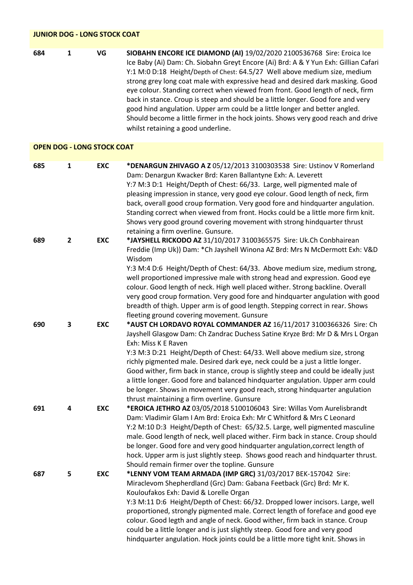| <b>JUNIOR DOG - LONG STOCK COAT</b> |                         |            |                                                                                                                                                                                                                                                                                                                                                                                                                                                                                                                                                                                                                                                                                                               |  |
|-------------------------------------|-------------------------|------------|---------------------------------------------------------------------------------------------------------------------------------------------------------------------------------------------------------------------------------------------------------------------------------------------------------------------------------------------------------------------------------------------------------------------------------------------------------------------------------------------------------------------------------------------------------------------------------------------------------------------------------------------------------------------------------------------------------------|--|
| 684                                 | 1                       | VG         | SIOBAHN ENCORE ICE DIAMOND (AI) 19/02/2020 2100536768 Sire: Eroica Ice<br>Ice Baby (Ai) Dam: Ch. Siobahn Greyt Encore (Ai) Brd: A & Y Yun Exh: Gillian Cafari<br>Y:1 M:0 D:18 Height/Depth of Chest: 64.5/27 Well above medium size, medium<br>strong grey long coat male with expressive head and desired dark masking. Good<br>eye colour. Standing correct when viewed from front. Good length of neck, firm<br>back in stance. Croup is steep and should be a little longer. Good fore and very<br>good hind angulation. Upper arm could be a little longer and better angled.<br>Should become a little firmer in the hock joints. Shows very good reach and drive<br>whilst retaining a good underline. |  |
| <b>OPEN DOG - LONG STOCK COAT</b>   |                         |            |                                                                                                                                                                                                                                                                                                                                                                                                                                                                                                                                                                                                                                                                                                               |  |
| 685                                 | 1                       | <b>EXC</b> | *DENARGUN ZHIVAGO A Z 05/12/2013 3100303538 Sire: Ustinov V Romerland<br>Dam: Denargun Kwacker Brd: Karen Ballantyne Exh: A. Leverett<br>Y:7 M:3 D:1 Height/Depth of Chest: 66/33. Large, well pigmented male of<br>pleasing impression in stance, very good eye colour. Good length of neck, firm<br>back, overall good croup formation. Very good fore and hindquarter angulation.<br>Standing correct when viewed from front. Hocks could be a little more firm knit.<br>Shows very good ground covering movement with strong hindquarter thrust<br>retaining a firm overline. Gunsure.                                                                                                                    |  |
| 689                                 | $\overline{\mathbf{2}}$ | <b>EXC</b> | *JAYSHELL RICKODO AZ 31/10/2017 3100365575 Sire: Uk.Ch Conbhairean<br>Freddie (Imp Uk)) Dam: * Ch Jayshell Winona AZ Brd: Mrs N McDermott Exh: V&D<br>Wisdom<br>Y:3 M:4 D:6 Height/Depth of Chest: 64/33. Above medium size, medium strong,<br>well proportioned impressive male with strong head and expression. Good eye<br>colour. Good length of neck. High well placed wither. Strong backline. Overall<br>very good croup formation. Very good fore and hindquarter angulation with good<br>breadth of thigh. Upper arm is of good length. Stepping correct in rear. Shows<br>fleeting ground covering movement. Gunsure                                                                                |  |
| 690                                 | 3                       | <b>EXC</b> | *AUST CH LORDAVO ROYAL COMMANDER AZ 16/11/2017 3100366326 Sire: Ch<br>Jayshell Glasgow Dam: Ch Zandrac Duchess Satine Kryze Brd: Mr D & Mrs L Organ<br>Exh: Miss K E Raven<br>Y:3 M:3 D:21 Height/Depth of Chest: 64/33. Well above medium size, strong<br>richly pigmented male. Desired dark eye, neck could be a just a little longer.<br>Good wither, firm back in stance, croup is slightly steep and could be ideally just<br>a little longer. Good fore and balanced hindquarter angulation. Upper arm could<br>be longer. Shows in movement very good reach, strong hindquarter angulation<br>thrust maintaining a firm overline. Gunsure                                                             |  |
| 691                                 | 4                       | <b>EXC</b> | *EROICA JETHRO AZ 03/05/2018 5100106043 Sire: Willas Vom Aurelisbrandt<br>Dam: Vladimir Glam I Am Brd: Eroica Exh: Mr C Whitford & Mrs C Leonard<br>Y:2 M:10 D:3 Height/Depth of Chest: 65/32.5. Large, well pigmented masculine<br>male. Good length of neck, well placed wither. Firm back in stance. Croup should<br>be longer. Good fore and very good hindquarter angulation, correct length of<br>hock. Upper arm is just slightly steep. Shows good reach and hindquarter thrust.<br>Should remain firmer over the topline. Gunsure                                                                                                                                                                    |  |
| 687                                 | 5                       | <b>EXC</b> | *LENNY VOM TEAM ARMADA (IMP GRC) 31/03/2017 BEK-157042 Sire:<br>Miraclevom Shepherdland (Grc) Dam: Gabana Feetback (Grc) Brd: Mr K.<br>Kouloufakos Exh: David & Lorelle Organ<br>Y:3 M:11 D:6 Height/Depth of Chest: 66/32. Dropped lower incisors. Large, well<br>proportioned, strongly pigmented male. Correct length of foreface and good eye<br>colour. Good legth and angle of neck. Good wither, firm back in stance. Croup<br>could be a little longer and is just slightly steep. Good fore and very good<br>hindquarter angulation. Hock joints could be a little more tight knit. Shows in                                                                                                         |  |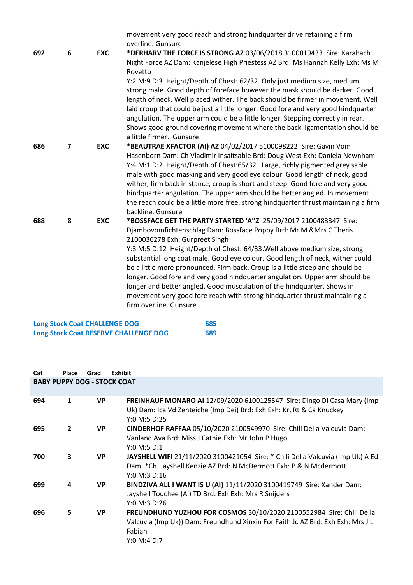|     |   |            | movement very good reach and strong hindquarter drive retaining a firm                                                                                                                                                                                                                                                          |
|-----|---|------------|---------------------------------------------------------------------------------------------------------------------------------------------------------------------------------------------------------------------------------------------------------------------------------------------------------------------------------|
|     |   |            | overline. Gunsure                                                                                                                                                                                                                                                                                                               |
| 692 | 6 | <b>EXC</b> | *DERHARV THE FORCE IS STRONG AZ 03/06/2018 3100019433 Sire: Karabach                                                                                                                                                                                                                                                            |
|     |   |            | Night Force AZ Dam: Kanjelese High Priestess AZ Brd: Ms Hannah Kelly Exh: Ms M<br>Rovetto                                                                                                                                                                                                                                       |
|     |   |            | Y:2 M:9 D:3 Height/Depth of Chest: 62/32. Only just medium size, medium<br>strong male. Good depth of foreface however the mask should be darker. Good<br>length of neck. Well placed wither. The back should be firmer in movement. Well<br>laid croup that could be just a little longer. Good fore and very good hindquarter |
|     |   |            | angulation. The upper arm could be a little longer. Stepping correctly in rear.<br>Shows good ground covering movement where the back ligamentation should be<br>a little firmer. Gunsure                                                                                                                                       |
| 686 | 7 | <b>EXC</b> | *BEAUTRAE XFACTOR (AI) AZ 04/02/2017 5100098222 Sire: Gavin Vom                                                                                                                                                                                                                                                                 |
|     |   |            | Hasenborn Dam: Ch Vladimir Insaitsable Brd: Doug West Exh: Daniela Newnham                                                                                                                                                                                                                                                      |
|     |   |            | Y:4 M:1 D:2 Height/Depth of Chest:65/32. Large, richly pigmented grey sable                                                                                                                                                                                                                                                     |
|     |   |            | male with good masking and very good eye colour. Good length of neck, good                                                                                                                                                                                                                                                      |
|     |   |            | wither, firm back in stance, croup is short and steep. Good fore and very good                                                                                                                                                                                                                                                  |
|     |   |            | hindquarter angulation. The upper arm should be better angled. In movement<br>the reach could be a little more free, strong hindquarter thrust maintaining a firm<br>backline. Gunsure                                                                                                                                          |
| 688 | 8 | <b>EXC</b> | *BOSSFACE GET THE PARTY STARTED 'A"Z' 25/09/2017 2100483347 Sire:                                                                                                                                                                                                                                                               |
|     |   |            | Djambovomfichtenschlag Dam: Bossface Poppy Brd: Mr M & Mrs C Theris<br>2100036278 Exh: Gurpreet Singh                                                                                                                                                                                                                           |
|     |   |            | Y:3 M:5 D:12 Height/Depth of Chest: 64/33. Well above medium size, strong<br>substantial long coat male. Good eye colour. Good length of neck, wither could                                                                                                                                                                     |
|     |   |            | be a little more pronounced. Firm back. Croup is a little steep and should be<br>longer. Good fore and very good hindquarter angulation. Upper arm should be                                                                                                                                                                    |
|     |   |            | longer and better angled. Good musculation of the hindquarter. Shows in<br>movement very good fore reach with strong hindquarter thrust maintaining a                                                                                                                                                                           |
|     |   |            | firm overline. Gunsure                                                                                                                                                                                                                                                                                                          |

| <b>Long Stock Coat CHALLENGE DOG</b>         | 685 |
|----------------------------------------------|-----|
| <b>Long Stock Coat RESERVE CHALLENGE DOG</b> | 689 |

| Cat                                | <b>Place</b>   | Grad      | Exhibit                                                                                                                                                                          |  |
|------------------------------------|----------------|-----------|----------------------------------------------------------------------------------------------------------------------------------------------------------------------------------|--|
| <b>BABY PUPPY DOG - STOCK COAT</b> |                |           |                                                                                                                                                                                  |  |
|                                    |                |           |                                                                                                                                                                                  |  |
| 694                                | 1              | <b>VP</b> | FREINHAUF MONARO AI 12/09/2020 6100125547 Sire: Dingo Di Casa Mary (Imp<br>Uk) Dam: Ica Vd Zenteiche (Imp Dei) Brd: Exh Exh: Kr, Rt & Ca Knuckey<br>Y:0 M:5 D:25                 |  |
| 695                                | $\overline{2}$ | <b>VP</b> | CINDERHOF RAFFAA 05/10/2020 2100549970 Sire: Chili Della Valcuvia Dam:<br>Vanland Ava Brd: Miss J Cathie Exh: Mr John P Hugo<br>Y:0 M:5 D:1                                      |  |
| 700                                | 3              | <b>VP</b> | JAYSHELL WIFI 21/11/2020 3100421054 Sire: * Chili Della Valcuvia (Imp Uk) A Ed<br>Dam: * Ch. Jayshell Kenzie AZ Brd: N McDermott Exh: P & N Mcdermott<br>Y:0 M:3 D:16            |  |
| 699                                | 4              | <b>VP</b> | BINDZIVA ALL I WANT IS U (AI) 11/11/2020 3100419749 Sire: Xander Dam:<br>Jayshell Touchee (Ai) TD Brd: Exh Exh: Mrs R Snijders<br>Y:0 M:3 D:26                                   |  |
| 696                                | 5              | <b>VP</b> | FREUNDHUND YUZHOU FOR COSMOS 30/10/2020 2100552984 Sire: Chili Della<br>Valcuvia (Imp Uk)) Dam: Freundhund Xinxin For Faith Jc AZ Brd: Exh Exh: Mrs J L<br>Fabian<br>Y:0 M:4 D:7 |  |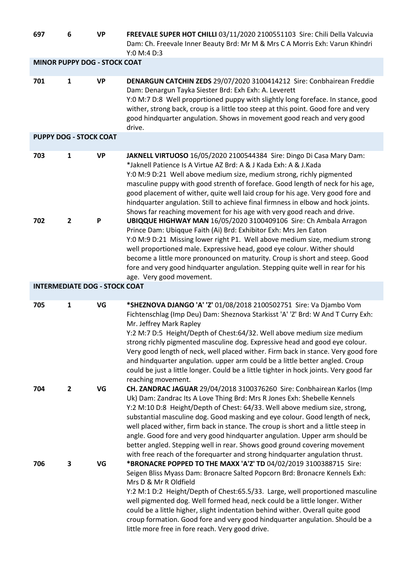| 697                                  | 6              | <b>VP</b> | FREEVALE SUPER HOT CHILLI 03/11/2020 2100551103 Sire: Chili Della Valcuvia<br>Dam: Ch. Freevale Inner Beauty Brd: Mr M & Mrs C A Morris Exh: Varun Khindri<br>Y:0 M:4 D:3                                                                                                                                                                                                                                                                                                                                                                                                                                                                        |
|--------------------------------------|----------------|-----------|--------------------------------------------------------------------------------------------------------------------------------------------------------------------------------------------------------------------------------------------------------------------------------------------------------------------------------------------------------------------------------------------------------------------------------------------------------------------------------------------------------------------------------------------------------------------------------------------------------------------------------------------------|
| <b>MINOR PUPPY DOG - STOCK COAT</b>  |                |           |                                                                                                                                                                                                                                                                                                                                                                                                                                                                                                                                                                                                                                                  |
| 701                                  | 1              | <b>VP</b> | DENARGUN CATCHIN ZEDS 29/07/2020 3100414212 Sire: Conbhairean Freddie<br>Dam: Denargun Tayka Siester Brd: Exh Exh: A. Leverett<br>Y:0 M:7 D:8 Well propprtioned puppy with slightly long foreface. In stance, good<br>wither, strong back, croup is a little too steep at this point. Good fore and very<br>good hindquarter angulation. Shows in movement good reach and very good<br>drive.                                                                                                                                                                                                                                                    |
| <b>PUPPY DOG - STOCK COAT</b>        |                |           |                                                                                                                                                                                                                                                                                                                                                                                                                                                                                                                                                                                                                                                  |
| 703                                  | 1              | <b>VP</b> | JAKNELL VIRTUOSO 16/05/2020 2100544384 Sire: Dingo Di Casa Mary Dam:<br>*Jaknell Patience Is A Virtue AZ Brd: A & J Kada Exh: A & J.Kada<br>Y:0 M:9 D:21 Well above medium size, medium strong, richly pigmented<br>masculine puppy with good strenth of foreface. Good length of neck for his age,<br>good placement of wither, quite well laid croup for his age. Very good fore and<br>hindquarter angulation. Still to achieve final firmness in elbow and hock joints.<br>Shows far reaching movement for his age with very good reach and drive.                                                                                           |
| 702                                  | $\overline{2}$ | P         | UBIQQUE HIGHWAY MAN 16/05/2020 3100409106 Sire: Ch Ambala Arragon<br>Prince Dam: Ubiqque Faith (Ai) Brd: Exhibitor Exh: Mrs Jen Eaton<br>Y:0 M:9 D:21 Missing lower right P1. Well above medium size, medium strong<br>well proportioned male. Expressive head, good eye colour. Wither should<br>become a little more pronounced on maturity. Croup is short and steep. Good<br>fore and very good hindquarter angulation. Stepping quite well in rear for his<br>age. Very good movement.                                                                                                                                                      |
| <b>INTERMEDIATE DOG - STOCK COAT</b> |                |           |                                                                                                                                                                                                                                                                                                                                                                                                                                                                                                                                                                                                                                                  |
| 705                                  | $\mathbf{1}$   | VG        | *SHEZNOVA DJANGO 'A' 'Z' 01/08/2018 2100502751 Sire: Va Djambo Vom<br>Fichtenschlag (Imp Deu) Dam: Sheznova Starkisst 'A' 'Z' Brd: W And T Curry Exh:<br>Mr. Jeffrey Mark Rapley<br>Y:2 M:7 D:5 Height/Depth of Chest:64/32. Well above medium size medium<br>strong richly pigmented masculine dog. Expressive head and good eye colour.<br>Very good length of neck, well placed wither. Firm back in stance. Very good fore<br>and hindquarter angulation. upper arm could be a little better angled. Croup<br>could be just a little longer. Could be a little tighter in hock joints. Very good far<br>reaching movement.                   |
| 704                                  | $\mathbf{2}$   | VG        | CH. ZANDRAC JAGUAR 29/04/2018 3100376260 Sire: Conbhairean Karlos (Imp<br>Uk) Dam: Zandrac Its A Love Thing Brd: Mrs R Jones Exh: Shebelle Kennels<br>Y:2 M:10 D:8 Height/Depth of Chest: 64/33. Well above medium size, strong,<br>substantial masculine dog. Good masking and eye colour. Good length of neck,<br>well placed wither, firm back in stance. The croup is short and a little steep in<br>angle. Good fore and very good hindquarter angulation. Upper arm should be<br>better angled. Stepping well in rear. Shows good ground covering movement<br>with free reach of the forequarter and strong hindquarter angulation thrust. |
| 706                                  | 3              | VG        | *BRONACRE POPPED TO THE MAXX 'A'Z' TD 04/02/2019 3100388715 Sire:<br>Seigen Bliss Myass Dam: Bronacre Salted Popcorn Brd: Bronacre Kennels Exh:<br>Mrs D & Mr R Oldfield<br>Y:2 M:1 D:2 Height/Depth of Chest:65.5/33. Large, well proportioned masculine<br>well pigmented dog. Well formed head, neck could be a little longer. Wither<br>could be a little higher, slight indentation behind wither. Overall quite good<br>croup formation. Good fore and very good hindquarter angulation. Should be a<br>little more free in fore reach. Very good drive.                                                                                   |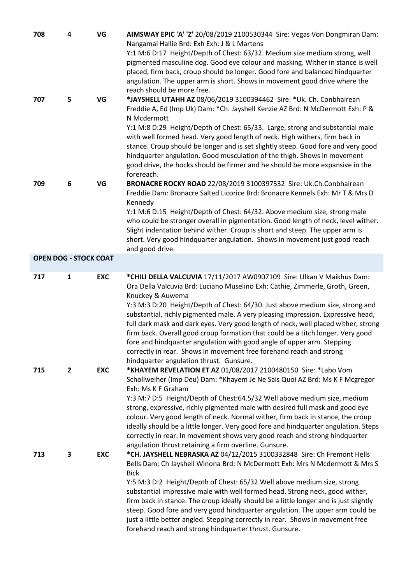| 708                          | 4            | VG         | AIMSWAY EPIC 'A' 'Z' 20/08/2019 2100530344 Sire: Vegas Von Dongmiran Dam:<br>Nangamai Hallie Brd: Exh Exh: J & L Martens<br>Y:1 M:6 D:17 Height/Depth of Chest: 63/32. Medium size medium strong, well<br>pigmented masculine dog. Good eye colour and masking. Wither in stance is well<br>placed, firm back, croup should be longer. Good fore and balanced hindquarter<br>angulation. The upper arm is short. Shows in movement good drive where the<br>reach should be more free.                                                                                                                                                                                                                                |
|------------------------------|--------------|------------|----------------------------------------------------------------------------------------------------------------------------------------------------------------------------------------------------------------------------------------------------------------------------------------------------------------------------------------------------------------------------------------------------------------------------------------------------------------------------------------------------------------------------------------------------------------------------------------------------------------------------------------------------------------------------------------------------------------------|
| 707                          | 5            | VG         | *JAYSHELL UTAHH AZ 08/06/2019 3100394462 Sire: *Uk. Ch. Conbhairean<br>Freddie A, Ed (Imp Uk) Dam: * Ch. Jayshell Kenzie AZ Brd: N McDermott Exh: P &<br>N Mcdermott<br>Y:1 M:8 D:29 Height/Depth of Chest: 65/33. Large, strong and substantial male<br>with well formed head. Very good length of neck. High withers, firm back in<br>stance. Croup should be longer and is set slightly steep. Good fore and very good<br>hindquarter angulation. Good musculation of the thigh. Shows in movement<br>good drive, the hocks should be firmer and he should be more expansive in the<br>forereach.                                                                                                                 |
| 709                          | 6            | VG         | BRONACRE ROCKY ROAD 22/08/2019 3100397532 Sire: Uk.Ch.Conbhairean<br>Freddie Dam: Bronacre Salted Licorice Brd: Bronacre Kennels Exh: Mr T & Mrs D<br>Kennedy<br>Y:1 M:6 D:15 Height/Depth of Chest: 64/32. Above medium size, strong male<br>who could be stronger overall in pigmentation. Good length of neck, level wither.<br>Slight indentation behind wither. Croup is short and steep. The upper arm is<br>short. Very good hindquarter angulation. Shows in movement just good reach<br>and good drive.                                                                                                                                                                                                     |
| <b>OPEN DOG - STOCK COAT</b> |              |            |                                                                                                                                                                                                                                                                                                                                                                                                                                                                                                                                                                                                                                                                                                                      |
| 717                          | $\mathbf{1}$ | <b>EXC</b> | *CHILI DELLA VALCUVIA 17/11/2017 AW0907109 Sire: Ulkan V Maikhus Dam:<br>Ora Della Valcuvia Brd: Luciano Muselino Exh: Cathie, Zimmerle, Groth, Green,<br>Knuckey & Auwema<br>Y:3 M:3 D:20 Height/Depth of Chest: 64/30. Just above medium size, strong and<br>substantial, richly pigmented male. A very pleasing impression. Expressive head,<br>full dark mask and dark eyes. Very good length of neck, well placed wither, strong<br>firm back. Overall good croup formation that could be a titch longer. Very good<br>fore and hindquarter angulation with good angle of upper arm. Stepping<br>correctly in rear. Shows in movement free forehand reach and strong<br>hindquarter angulation thrust. Gunsure. |
| 715                          | $\mathbf{2}$ | <b>EXC</b> | *KHAYEM REVELATION ET AZ 01/08/2017 2100480150 Sire: *Labo Vom<br>Schollweiher (Imp Deu) Dam: *Khayem Je Ne Sais Quoi AZ Brd: Ms K F Mcgregor<br>Exh: Ms K F Graham<br>Y:3 M:7 D:5 Height/Depth of Chest:64.5/32 Well above medium size, medium<br>strong, expressive, richly pigmented male with desired full mask and good eye<br>colour. Very good length of neck. Normal wither, firm back in stance, the croup<br>ideally should be a little longer. Very good fore and hindquarter angulation. Steps<br>correctly in rear. In movement shows very good reach and strong hindquarter<br>angulation thrust retaining a firm overline. Gunsure.                                                                   |
| 713                          | 3            | <b>EXC</b> | *CH. JAYSHELL NEBRASKA AZ 04/12/2015 3100332848 Sire: Ch Fremont Hells<br>Bells Dam: Ch Jayshell Winona Brd: N McDermott Exh: Mrs N Mcdermott & Mrs S<br><b>Bick</b><br>Y:5 M:3 D:2 Height/Depth of Chest: 65/32. Well above medium size, strong<br>substantial impressive male with well formed head. Strong neck, good wither,<br>firm back in stance. The croup ideally should be a little longer and is just slightly<br>steep. Good fore and very good hindquarter angulation. The upper arm could be<br>just a little better angled. Stepping correctly in rear. Shows in movement free<br>forehand reach and strong hindquarter thrust. Gunsure.                                                              |